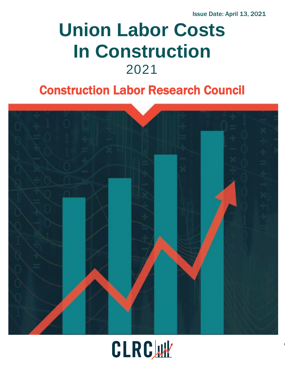Issue Date: April 13, 2021

# **Union Labor Costs In Construction** 2021

# Construction Labor Research Council



# CLRCW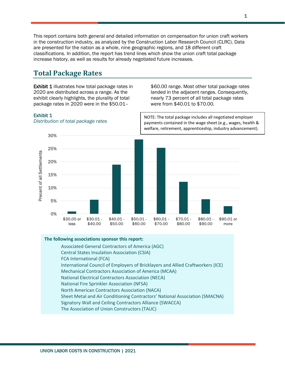This report contains both general and detailed information on compensation for union craft workers in the construction industry, as analyzed by the Construction Labor Research Council (CLRC). Data are presented for the nation as a whole, nine geographic regions, and 18 different craft classifications. In addition, the report has trend lines which show the union craft total package increase history, as well as results for already negotiated future increases.

# **Total Package Rates**

**Exhibit 1** illustrates how total package rates in 2020 are distributed across a range. As the exhibit clearly highlights, the plurality of total package rates in 2020 were in the \$50.01–

\$60.00 range. Most other total package rates landed in the adjacent ranges. Consequently, nearly 73 percent of all total package rates were from \$40.01 to \$70.00.

NOTE: The total package includes all negotiated employer

#### Exhibit 1



*Distribution of total package rates*

#### **The following associations sponsor this report:**

Associated General Contractors of America (AGC) Central States Insulation Association (CSIA) FCA International (FCA) International Council of Employers of Bricklayers and Allied Craftworkers (ICE) Mechanical Contractors Association of America (MCAA) National Electrical Contractors Association (NECA) National Fire Sprinkler Association (NFSA) North American Contractors Association (NACA) Sheet Metal and Air Conditioning Contractors' National Association (SMACNA) Signatory Wall and Ceiling Contractors Alliance (SWACCA) The Association of Union Constructors (TAUC)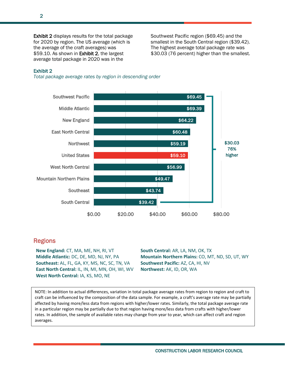Exhibit 2 displays results for the total package for 2020 by region. The US average (which is the average of the craft averages) was \$59.10. As shown in Exhibit 2, the largest average total package in 2020 was in the

Southwest Pacific region (\$69.45) and the smallest in the South Central region (\$39.42). The highest average total package rate was \$30.03 (76 percent) higher than the smallest.

#### Exhibit 2

*Total package average rates by region in descending order*



#### Regions

**New England:** CT, MA, ME, NH, RI, VT **Middle Atlantic:** DC, DE, MD, NJ, NY, PA **Southeast:** AL, FL, GA, KY, MS, NC, SC, TN, VA **East North Central:** IL, IN, MI, MN, OH, WI, WV **West North Central:** IA, KS, MO, NE

**South Central:** AR, LA, NM, OK, TX **Mountain Northern Plains:** CO, MT, ND, SD, UT, WY **Southwest Pacific:** AZ, CA, HI, NV **Northwest:** AK, ID, OR, WA

NOTE: In addition to actual differences, variation in total package average rates from region to region and craft to craft can be influenced by the composition of the data sample. For example, a craft's average rate may be partially affected by having more/less data from regions with higher/lower rates. Similarly, the total package average rate in a particular region may be partially due to that region having more/less data from crafts with higher/lower rates. In addition, the sample of available rates may change from year to year, which can affect craft and region averages.

2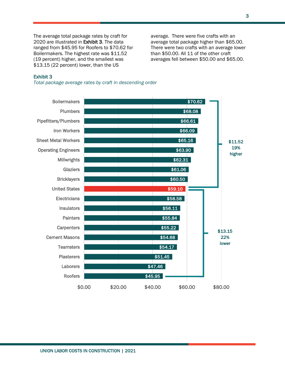The average total package rates by craft for 2020 are illustrated in Exhibit 3. The data ranged from \$45.95 for Roofers to \$70.62 for Boilermakers. The highest rate was \$11.52 (19 percent) higher, and the smallest was \$13.15 (22 percent) lower, than the US

average. There were five crafts with an average total package higher than \$65.00. There were two crafts with an average lower than \$50.00. All 11 of the other craft averages fell between \$50.00 and \$65.00.

#### Exhibit 3

*Total package average rates by craft in descending order*

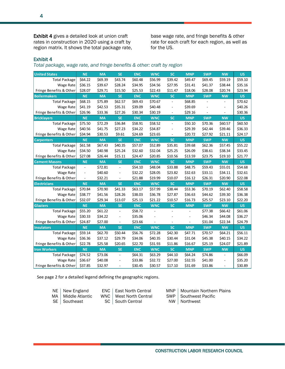Exhibit 4 gives a detailed look at union craft rates in construction in 2020 using a craft by region matrix. It shows the total package rate,

base wage rate, and fringe benefits & other rate for each craft for each region, as well as for the US.

#### Exhibit 4

*Total package, wage rate, and fringe benefits & other: craft by region*

| <b>United States</b>    | <b>NE</b>                | <b>MA</b> | <b>SE</b>                | <b>ENC</b> | <b>WNC</b> | <b>SC</b>                | <b>MNP</b> | <b>SWP</b>     | <b>NW</b>      | <b>US</b> |
|-------------------------|--------------------------|-----------|--------------------------|------------|------------|--------------------------|------------|----------------|----------------|-----------|
| <b>Total Package</b>    | \$64.22                  | \$69.39   | \$43.74                  | \$60.48    | \$56.99    | \$39.42                  | \$49.47    | \$69.45        | \$59.19        | \$59.10   |
| Wage Rate               | \$36.15                  | \$39.67   | \$28.24                  | \$34.95    | \$34.56    | \$27.95                  | \$31.41    | \$41.37        | \$38.44        | \$35.16   |
| Fringe Benefits & Other | \$28.07                  | \$29.71   | \$15.50                  | \$25.53    | \$22.43    | \$11.47                  | \$18.06    | \$28.08        | \$20.74        | \$23.94   |
| <b>Boilermakers</b>     | <b>NE</b>                | <b>MA</b> | <b>SE</b>                | <b>ENC</b> | <b>WNC</b> | <b>SC</b>                | <b>MNP</b> | <b>SWP</b>     | <b>NW</b>      | <b>US</b> |
| <b>Total Package</b>    | \$68.15                  | \$75.89   | \$62.57                  | \$69.43    | \$70.67    | $\overline{\phantom{a}}$ | \$68.85    |                |                | \$70.62   |
| Wage Rate               | \$41.19                  | \$42.53   | \$35.31                  | \$39.09    | \$40.48    | $\overline{\phantom{a}}$ | \$39.69    |                | $\blacksquare$ | \$40.26   |
| Fringe Benefits & Other | \$26.96                  | \$33.36   | \$27.26                  | \$30.34    | \$30.19    | $\overline{\phantom{a}}$ | \$29.16    | $\blacksquare$ | $\blacksquare$ | \$30.36   |
| <b>Bricklayers</b>      | <b>NE</b>                | <b>MA</b> | <b>SE</b>                | <b>ENC</b> | <b>WNC</b> | <b>SC</b>                | <b>MNP</b> | <b>SWP</b>     | <b>NW</b>      | <b>US</b> |
| <b>Total Package</b>    | \$75.50                  | \$72.29   | \$36.84                  | \$58.91    | \$58.52    | $\overline{\phantom{a}}$ | \$50.10    | \$70.36        | \$60.57        | \$60.50   |
| Wage Rate               | \$40.56                  | \$41.75   | \$27.23                  | \$34.22    | \$34.87    |                          | \$29.39    | \$42.44        | \$39.46        | \$36.33   |
| Fringe Benefits & Other | \$34.94                  | \$30.53   | \$9.61                   | \$24.69    | \$23.65    | $\overline{\phantom{a}}$ | \$20.72    | \$27.92        | \$21.11        | \$24.17   |
| <b>Carpenters</b>       | <b>NE</b>                | <b>MA</b> | <b>SE</b>                | <b>ENC</b> | <b>WNC</b> | <b>SC</b>                | <b>MNP</b> | <b>SWP</b>     | <b>NW</b>      | <b>US</b> |
| <b>Total Package</b>    | \$61.58                  | \$67.43   | \$40.35                  | \$57.07    | \$52.89    | \$35.81                  | \$39.68    | \$62.36        | \$57.45        | \$55.22   |
| Wage Rate               | \$34.50                  | \$40.98   | \$25.24                  | \$32.60    | \$32.04    | \$25.25                  | \$26.09    | \$38.61        | \$38.34        | \$33.45   |
| Fringe Benefits & Other | \$27.08                  | \$26.44   | \$15.11                  | \$24.47    | \$20.85    | \$10.56                  | \$13.59    | \$23.75        | \$19.10        | \$21.77   |
| <b>Cement Masons</b>    | <b>NE</b>                | <b>MA</b> | <b>SE</b>                | <b>ENC</b> | <b>WNC</b> | <b>SC</b>                | <b>MNP</b> | <b>SWP</b>     | <b>NW</b>      | <b>US</b> |
| <b>Total Package</b>    | $\overline{a}$           | \$72.81   | ÷.                       | \$54.10    | \$48.04    | \$33.88                  | \$48.75    | \$59.43        | \$55.01        | \$54.68   |
| Wage Rate               | $\frac{1}{2}$            | \$40.60   | $\overline{a}$           | \$32.22    | \$28.05    | \$23.82                  | \$32.63    | \$33.11        | \$34.11        | \$32.61   |
| Fringe Benefits & Other | $\overline{\phantom{0}}$ | \$32.21   |                          | \$21.88    | \$19.99    | \$10.07                  | \$16.12    | \$26.31        | \$20.90        | \$22.08   |
| <b>Electricians</b>     | <b>NE</b>                | <b>MA</b> | <b>SE</b>                | <b>ENC</b> | <b>WNC</b> | <b>SC</b>                | <b>MNP</b> | <b>SWP</b>     | <b>NW</b>      | <b>US</b> |
| <b>Total Package</b>    | \$70.84                  | \$70.90   | \$41.33                  | \$63.17    | \$57.99    | \$38.44                  | \$53.36    | \$70.19        | \$62.40        | \$58.58   |
| Wage Rate               | \$38.77                  | \$41.56   | \$28.26                  | \$38.03    | \$36.78    | \$27.87                  | \$36.63    | \$44.62        | \$39.30        | \$36.38   |
| Fringe Benefits & Other | \$32.07                  | \$29.34   | \$13.07                  | \$25.13    | \$21.22    | \$10.57                  | \$16.73    | \$25.57        | \$23.10        | \$22.20   |
| <b>Glaziers</b>         | <b>NE</b>                | <b>MA</b> | <b>SE</b>                | <b>ENC</b> | <b>WNC</b> | <b>SC</b>                | <b>MNP</b> | <b>SWP</b>     | <b>NW</b>      | <b>US</b> |
| <b>Total Package</b>    | \$55.20                  | \$61.22   | $\overline{\phantom{a}}$ | \$58.72    |            |                          |            | \$77.38        | \$66.42        | \$61.06   |
| Wage Rate               | \$30.33                  | \$34.22   | ÷,                       | \$35.06    |            |                          |            | \$46.34        | \$44.08        | \$36.27   |
| Fringe Benefits & Other | \$24.87                  | \$27.00   | ۰                        | \$23.66    |            |                          |            | \$31.04        | \$22.34        | \$24.79   |
| <b>Insulators</b>       | <b>NE</b>                | <b>MA</b> | <b>SE</b>                | <b>ENC</b> | <b>WNC</b> | <b>SC</b>                | <b>MNP</b> | <b>SWP</b>     | <b>NW</b>      | <b>US</b> |
| <b>Total Package</b>    | \$59.14                  | \$62.70   | \$50.44                  | \$56.76    | \$72.28    | \$42.30                  | \$47.71    | \$70.57        | \$64.21        | \$56.11   |
| Wage Rate               | \$36.36                  | \$37.12   | \$29.79                  | \$34.06    | \$40.35    | \$30.44                  | \$31.04    | \$45.38        | \$40.15        | \$34.22   |
| Fringe Benefits & Other | \$22.78                  | \$25.58   | \$20.65                  | \$22.70    | \$31.93    | \$11.86                  | \$16.67    | \$25.19        | \$24.07        | \$21.89   |
| <b>Iron Workers</b>     | <b>NE</b>                | <b>MA</b> | <b>SE</b>                | <b>ENC</b> | <b>WNC</b> | <b>SC</b>                | <b>MNP</b> | <b>SWP</b>     | <b>NW</b>      | <b>US</b> |
| <b>Total Package</b>    | \$74.52                  | \$73.06   | ÷,                       | \$64.31    | \$63.29    | \$44.10                  | \$64.24    | \$74.86        | $\blacksquare$ | \$66.09   |
| Wage Rate               | \$36.67                  | \$40.08   | $\overline{a}$           | \$33.86    | \$32.72    | \$27.00                  | \$32.55    | \$41.00        | ÷,             | \$35.20   |
| Fringe Benefits & Other | \$37.85                  | \$32.97   | ÷,                       | \$30.45    | \$30.57    | \$17.10                  | \$31.69    | \$33.86        | ÷,             | \$30.89   |

See page 2 for a detailed legend defining the geographic regions.

| NE   New England     | ENC   East North Central | MNP        |
|----------------------|--------------------------|------------|
| MA   Middle Atlantic | WNC   West North Central | <b>SWP</b> |
| SE   Southeast       | SC   South Central       | <b>NW</b>  |

Mountain Northern Plains Southwest Pacific

Northwest

4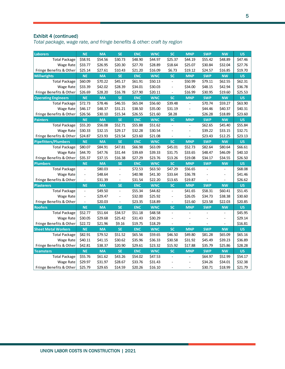#### Exhibit 4 (continued)

*Total package, wage rate, and fringe benefits & other: craft by region*

| Laborers                    | <b>NE</b>      | <b>MA</b> | <b>SE</b>                    | <b>ENC</b> | <b>WNC</b> | <b>SC</b>                | <b>MNP</b>               | <b>SWP</b> | <b>NW</b>      | <b>US</b> |
|-----------------------------|----------------|-----------|------------------------------|------------|------------|--------------------------|--------------------------|------------|----------------|-----------|
| <b>Total Package</b>        | \$58.91        | \$54.56   | \$30.73                      | \$48.90    | \$44.97    | \$25.37                  | \$44.19                  | \$55.42    | \$48.89        | \$47.46   |
| <b>Wage Rate</b>            | \$33.77        | \$26.95   | \$20.30                      | \$27.70    | \$28.89    | \$18.64                  | \$25.07                  | \$30.84    | \$32.04        | \$27.76   |
| Fringe Benefits & Other     | \$25.14        | \$27.61   | \$10.43                      | \$21.20    | \$16.09    | \$6.73                   | \$19.12                  | \$24.57    | \$16.85        | \$19.70   |
| <b>Millwrights</b>          | <b>NE</b>      | <b>MA</b> | <b>SE</b>                    | <b>ENC</b> | <b>WNC</b> | <b>SC</b>                | <b>MNP</b>               | <b>SWP</b> | <b>NW</b>      | <b>US</b> |
| <b>Total Package</b>        | \$60.09        | \$70.22   | \$45.17                      | \$61.91    | \$50.13    |                          | \$50.99                  | \$79.11    | \$62.55        | \$62.31   |
| Wage Rate                   | \$33.39        | \$42.02   | \$28.39                      | \$34.01    | \$30.03    | $\frac{1}{2}$            | \$34.00                  | \$48.15    | \$42.94        | \$36.78   |
| Fringe Benefits & Other     | \$26.69        | \$28.20   | \$16.78                      | \$27.90    | \$20.11    | $\overline{\phantom{a}}$ | \$16.99                  | \$30.95    | \$19.60        | \$25.53   |
| <b>Operating Engineers</b>  | <b>NE</b>      | <b>MA</b> | <b>SE</b>                    | <b>ENC</b> | <b>WNC</b> | <b>SC</b>                | <b>MNP</b>               | <b>SWP</b> | <b>NW</b>      | <b>US</b> |
| <b>Total Package</b>        | \$72.73        | \$78.46   | \$46.55                      | \$65.04    | \$56.60    | \$39.48                  | $\blacksquare$           | \$70.74    | \$59.27        | \$63.90   |
| Wage Rate                   | \$46.17        | \$48.37   | \$31.21                      | \$38.50    | \$35.00    | \$31.19                  | ÷,                       | \$44.46    | \$40.37        | \$40.31   |
| Fringe Benefits & Other     | \$26.56        | \$30.10   | \$15.34                      | \$26.55    | \$21.60    | \$8.28                   | $\overline{\phantom{a}}$ | \$26.28    | \$18.89        | \$23.60   |
| <b>Painters</b>             | <b>NE</b>      | <b>MA</b> | <b>SE</b>                    | <b>ENC</b> | <b>WNC</b> | <b>SC</b>                | <b>MNP</b>               | <b>SWP</b> | <b>NW</b>      | <b>US</b> |
| <b>Total Package</b>        | \$55.20        | \$56.08   | \$52.71                      | \$55.88    | \$51.62    | $\overline{a}$           |                          | \$62.65    | \$45.40        | \$55.84   |
| Wage Rate                   | \$30.33        | \$32.15   | \$29.17                      | \$32.28    | \$30.54    | $\overline{a}$           | ÷                        | \$39.22    | \$33.15        | \$32.71   |
| Fringe Benefits & Other     | \$24.87        | \$23.93   | \$23.54                      | \$23.60    | \$21.08    | $\blacksquare$           | $\blacksquare$           | \$23.43    | \$12.25        | \$23.13   |
| <b>Pipefitters/Plumbers</b> | <b>NE</b>      | <b>MA</b> | <b>SE</b>                    | <b>ENC</b> | <b>WNC</b> | <b>SC</b>                | <b>MNP</b>               | <b>SWP</b> | <b>NW</b>      | <b>US</b> |
| <b>Total Package</b>        | \$80.07        | \$84.91   | \$47.81                      | \$66.98    | \$63.09    | \$45.01                  | \$52.73                  | \$82.64    | \$80.64        | \$66.61   |
| <b>Wage Rate</b>            | \$44.70        | \$47.76   | \$31.44                      | \$39.69    | \$39.33    | \$31.75                  | \$33.65                  | \$48.47    | \$46.09        | \$40.10   |
| Fringe Benefits & Other     | \$35.37        | \$37.15   | \$16.38                      | \$27.29    | \$23.76    | \$13.26                  | \$19.08                  | \$34.17    | \$34.55        | \$26.50   |
| <b>Plumbers</b>             | <b>NE</b>      | <b>MA</b> | <b>SE</b>                    | <b>ENC</b> | <b>WNC</b> | <b>SC</b>                | <b>MNP</b>               | <b>SWP</b> | <b>NW</b>      | <b>US</b> |
| <b>Total Package</b>        | $\Box$         | \$80.03   | $\overline{\phantom{a}}$     | \$72.53    | \$63.50    | \$47.29                  | \$56.65                  | ÷,         | $\blacksquare$ | \$68.08   |
| <b>Wage Rate</b>            | $\overline{a}$ | \$48.64   | ÷,                           | \$40.98    | \$41.30    | \$33.64                  | \$36.78                  |            | ÷,             | \$41.46   |
| Fringe Benefits & Other     | ÷,             | \$31.39   | $\qquad \qquad \blacksquare$ | \$31.54    | \$22.20    | \$13.65                  | \$19.87                  |            | $\blacksquare$ | \$26.62   |
| <b>Plasterers</b>           | <b>NE</b>      | <b>MA</b> | <b>SE</b>                    | <b>ENC</b> | <b>WNC</b> | <b>SC</b>                | <b>MNP</b>               | <b>SWP</b> | <b>NW</b>      | <b>US</b> |
| <b>Total Package</b>        | $\blacksquare$ | \$49.50   | $\overline{a}$               | \$55.34    | \$44.82    | $\overline{a}$           | \$41.65                  | \$58.31    | \$60.41        | \$51.45   |
| Wage Rate                   | $\frac{1}{2}$  | \$29.47   | L,                           | \$32.00    | \$25.92    | $\frac{1}{2}$            | \$26.05                  | \$34.73    | \$38.38        | \$30.60   |
| Fringe Benefits & Other     | $\Box$         | \$20.03   | $\overline{\phantom{a}}$     | \$23.35    | \$18.89    | $\blacksquare$           | \$15.60                  | \$23.58    | \$22.03        | \$20.85   |
| <b>Roofers</b>              | <b>NE</b>      | <b>MA</b> | <b>SE</b>                    | <b>ENC</b> | <b>WNC</b> | <b>SC</b>                | <b>MNP</b>               | <b>SWP</b> | <b>NW</b>      | <b>US</b> |
| <b>Total Package</b>        | \$52.77        | \$51.64   | \$34.57                      | \$51.18    | \$48.58    | $\frac{1}{2}$            |                          |            |                | \$45.95   |
| Wage Rate                   | \$30.05        | \$29.68   | \$25.42                      | \$31.43    | \$30.29    |                          |                          |            | ÷,             | \$29.14   |
| Fringe Benefits & Other     | \$22.72        | \$21.96   | \$9.16                       | \$19.75    | \$18.29    |                          |                          |            |                | \$16.81   |
| <b>Sheet Metal Workers</b>  | <b>NE</b>      | <b>MA</b> | <b>SE</b>                    | <b>ENC</b> | <b>WNC</b> | <b>SC</b>                | <b>MNP</b>               | <b>SWP</b> | <b>NW</b>      | <b>US</b> |
| <b>Total Package</b>        | \$82.91        | \$79.52   | \$51.52                      | \$65.56    | \$59.65    | \$46.50                  | \$49.80                  | \$81.28    | \$65.09        | \$65.16   |
| Wage Rate                   | \$40.11        | \$41.15   | \$30.62                      | \$35.96    | \$36.33    | \$30.58                  | \$31.92                  | \$45.49    | \$39.23        | \$36.89   |
| Fringe Benefits & Other     | \$42.81        | \$38.37   | \$20.90                      | \$29.61    | \$23.32    | \$15.92                  | \$17.88                  | \$35.79    | \$25.86        | \$28.28   |
| <b>Teamsters</b>            | <b>NE</b>      | <b>MA</b> | <b>SE</b>                    | <b>ENC</b> | <b>WNC</b> | <b>SC</b>                | <b>MNP</b>               | <b>SWP</b> | <b>NW</b>      | <b>US</b> |
| <b>Total Package</b>        | \$55.76        | \$61.62   | \$43.26                      | \$54.02    | \$47.53    | $\blacksquare$           | $\blacksquare$           | \$64.97    | \$52.99        | \$54.17   |
| Wage Rate                   | \$29.97        | \$31.97   | \$28.67                      | \$33.76    | \$31.43    |                          |                          | \$34.26    | \$34.01        | \$32.38   |
| Fringe Benefits & Other     | \$25.79        | \$29.65   | \$14.59                      | \$20.26    | \$16.10    |                          | ÷,                       | \$30.71    | \$18.99        | \$21.79   |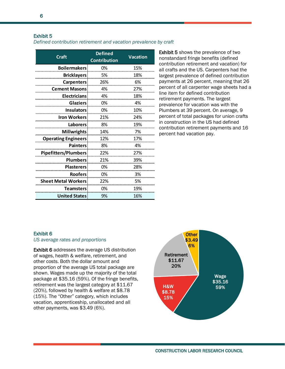#### Exhibit 5

#### *Defined contribution retirement and vacation prevalence by craft*

| Craft                       | <b>Defined</b><br><b>Contribution</b> | <b>Vacation</b> |  |  |
|-----------------------------|---------------------------------------|-----------------|--|--|
| <b>Boilermakers</b>         | 0%                                    | 15%             |  |  |
| <b>Bricklayers</b>          | 5%                                    | 18%             |  |  |
| <b>Carpenters</b>           | 26%                                   | 6%              |  |  |
| <b>Cement Masons</b>        | 4%                                    | 27%             |  |  |
| <b>Electricians</b>         | 4%                                    | 18%             |  |  |
| <b>Glaziers</b>             | 0%                                    | 4%              |  |  |
| <b>Insulators</b>           | 0%                                    | 10%             |  |  |
| <b>Iron Workers</b>         | 21%                                   | 24%             |  |  |
| <b>Laborers</b>             | 8%                                    | 19%             |  |  |
| <b>Millwrights</b>          | 14%                                   | 7%              |  |  |
| <b>Operating Engineers</b>  | 12%                                   | 17%             |  |  |
| <b>Painters</b>             | 8%                                    | 4%              |  |  |
| <b>Pipefitters/Plumbers</b> | 22%                                   | 27%             |  |  |
| <b>Plumbers</b>             | 21%                                   | 39%             |  |  |
| <b>Plasterers</b>           | 0%                                    | 28%             |  |  |
| <b>Roofers</b>              | 0%                                    | 3%              |  |  |
| <b>Sheet Metal Workers</b>  | 22%                                   | 5%              |  |  |
| <b>Teamsters</b>            | 0%                                    | 19%             |  |  |
| <b>United States</b>        | 9%                                    | 16%             |  |  |

Exhibit 5 shows the prevalence of two nonstandard fringe benefits (defined contribution retirement and vacation) for all crafts and the US. Carpenters had the largest prevalence of defined contribution payments at 26 percent, meaning that 26 percent of all carpenter wage sheets had a line item for defined contribution retirement payments. The largest prevalence for vacation was with the Plumbers at 39 percent. On average, 9 percent of total packages for union crafts in construction in the US had defined contribution retirement payments and 16 percent had vacation pay.

#### Exhibit 6

#### *US average rates and proportions*

Exhibit 6 addresses the average US distribution of wages, health & welfare, retirement, and other costs. Both the dollar amount and proportion of the average US total package are shown. Wages made up the majority of the total package at \$35.16 (59%). Of the fringe benefits, retirement was the largest category at \$11.67 (20%), followed by health & welfare at \$8.78 (15%). The "Other" category, which includes vacation, apprenticeship, unallocated and all other payments, was \$3.49 (6%).

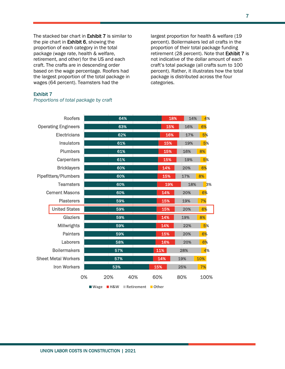The stacked bar chart in **Exhibit 7** is similar to the pie chart in Exhibit 6, showing the proportion of each category in the total package (wage rate, health & welfare, retirement, and other) for the US and each craft. The crafts are in descending order based on the wage percentage. Roofers had the largest proportion of the total package in wages (64 percent). Teamsters had the

largest proportion for health & welfare (19 percent). Boilermakers led all crafts in the proportion of their total package funding retirement (28 percent). Note that Exhibit 7 is not indicative of the dollar amount of each craft's total package (all crafts sum to 100 percent). Rather, it illustrates how the total package is distributed across the four categories.

#### Exhibit 7

|                             | <b>Roofers</b>       |              |     | 64%                                    |     |     | 18% | 14%       | 4%   |    |
|-----------------------------|----------------------|--------------|-----|----------------------------------------|-----|-----|-----|-----------|------|----|
| <b>Operating Engineers</b>  |                      |              | 63% |                                        |     | 15% |     | 16%       | 6%   |    |
| <b>Electricians</b>         |                      |              | 62% |                                        | 16% |     | 17% | 5%        |      |    |
|                             | <b>Insulators</b>    |              | 61% |                                        |     | 15% |     | 19%       | 5%   |    |
|                             | <b>Plumbers</b>      |              | 61% |                                        |     | 15% |     | 16%       | 8%   |    |
| Carpenters                  |                      |              | 61% |                                        | 15% |     | 19% | 5%        |      |    |
|                             | <b>Bricklayers</b>   |              | 60% |                                        |     | 14% |     | 20%<br>6% |      |    |
| <b>Pipefitters/Plumbers</b> |                      |              | 60% |                                        |     | 15% |     | 17%       | 8%   |    |
| <b>Teamsters</b>            |                      |              | 60% |                                        | 19% |     | 18% |           |      | 3% |
| <b>Cement Masons</b>        |                      |              | 60% |                                        |     | 14% |     | 20%       | 6%   |    |
| <b>Plasterers</b>           |                      |              | 59% |                                        |     | 15% |     | 19%       | 7%   |    |
|                             | <b>United States</b> |              | 59% |                                        |     | 15% |     | 20%       | 6%   |    |
|                             | <b>Glaziers</b>      |              | 59% |                                        |     | 14% |     | 19%       | 8%   |    |
|                             | <b>Millwrights</b>   |              | 59% |                                        |     | 14% |     | 22%       | 5%   |    |
|                             | <b>Painters</b>      |              | 59% |                                        |     | 15% |     | 20%       | 6%   |    |
|                             | Laborers             |              | 58% |                                        |     | 16% |     | 20%       | 6%   |    |
| <b>Boilermakers</b>         |                      |              | 57% |                                        |     | 11% |     | 28%       |      | 4% |
| <b>Sheet Metal Workers</b>  |                      |              | 57% |                                        | 14% |     | 19% |           | 10%  |    |
| <b>Iron Workers</b>         |                      |              | 53% |                                        | 15% |     | 25% |           | 7%   |    |
|                             |                      | 0%<br>■ Wage | 20% | 40%<br><b>H&amp;W</b> Retirement Other | 60% |     | 80% |           | 100% |    |

#### *Proportions of total package by craft*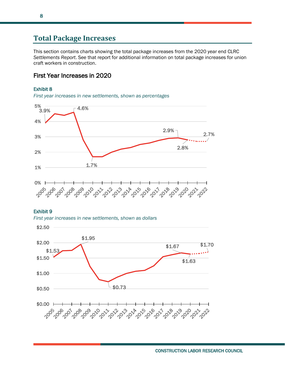## **Total Package Increases**

This section contains charts showing the total package increases from the 2020 year end CLRC *Settlements Report*. See that report for additional information on total package increases for union craft workers in construction.

### First Year Increases in 2020

#### Exhibit 8





#### Exhibit 9

*First year increases in new settlements, shown as dollars*

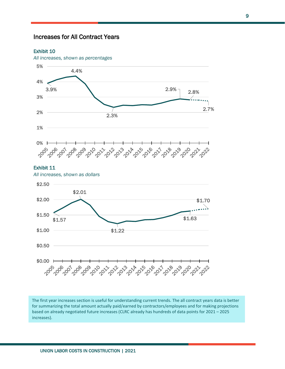### Increases for All Contract Years

#### Exhibit 10



#### Exhibit 11

*All increases, shown as dollars*



The first year increases section is useful for understanding current trends. The all contract years data is better for summarizing the total amount actually paid/earned by contractors/employees and for making projections based on already negotiated future increases (CLRC already has hundreds of data points for 2021 – 2025 increases).